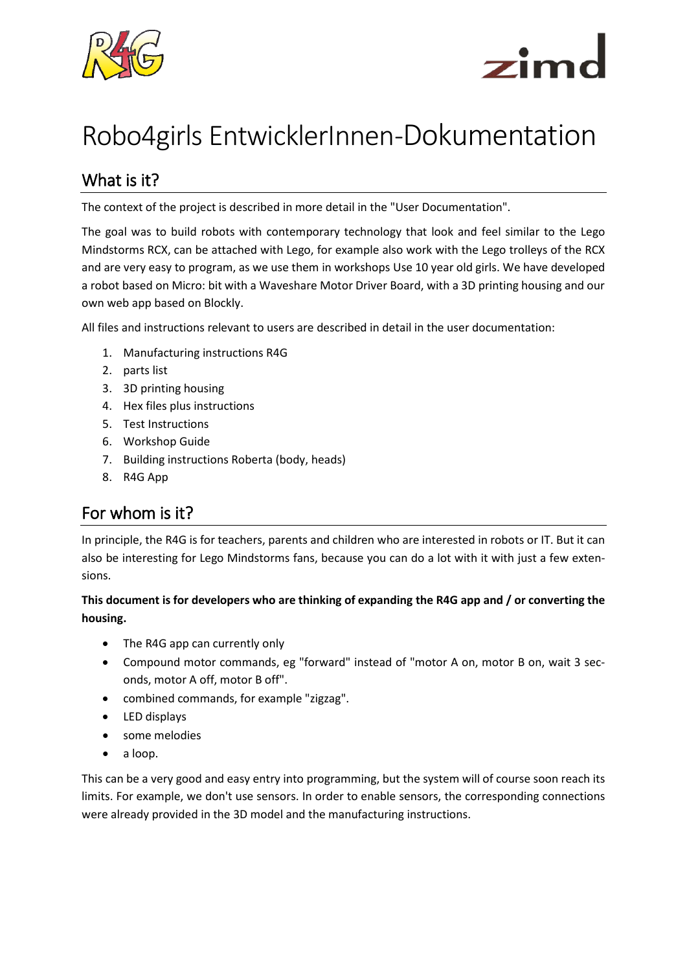



# Robo4girls EntwicklerInnen-Dokumentation

### What is it?

The context of the project is described in more detail in the "User Documentation".

The goal was to build robots with contemporary technology that look and feel similar to the Lego Mindstorms RCX, can be attached with Lego, for example also work with the Lego trolleys of the RCX and are very easy to program, as we use them in workshops Use 10 year old girls. We have developed a robot based on Micro: bit with a Waveshare Motor Driver Board, with a 3D printing housing and our own web app based on Blockly.

All files and instructions relevant to users are described in detail in the user documentation:

- 1. Manufacturing instructions R4G
- 2. parts list
- 3. 3D printing housing
- 4. Hex files plus instructions
- 5. Test Instructions
- 6. Workshop Guide
- 7. Building instructions Roberta (body, heads)
- 8. R4G App

#### For whom is it?

In principle, the R4G is for teachers, parents and children who are interested in robots or IT. But it can also be interesting for Lego Mindstorms fans, because you can do a lot with it with just a few extensions.

#### **This document is for developers who are thinking of expanding the R4G app and / or converting the housing.**

- The R4G app can currently only
- Compound motor commands, eg "forward" instead of "motor A on, motor B on, wait 3 seconds, motor A off, motor B off".
- combined commands, for example "zigzag".
- LED displays
- some melodies
- a loop.

This can be a very good and easy entry into programming, but the system will of course soon reach its limits. For example, we don't use sensors. In order to enable sensors, the corresponding connections were already provided in the 3D model and the manufacturing instructions.